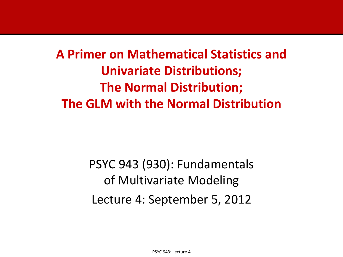**A Primer on Mathematical Statistics and Univariate Distributions; The Normal Distribution; The GLM with the Normal Distribution**

> PSYC 943 (930): Fundamentals of Multivariate Modeling Lecture 4: September 5, 2012

> > PSYC 943: Lecture 4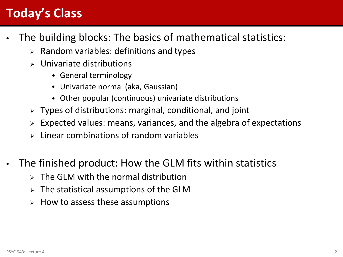### **Today's Class**

- The building blocks: The basics of mathematical statistics:
	- $\triangleright$  Random variables: definitions and types
	- $\triangleright$  Univariate distributions
		- General terminology
		- Univariate normal (aka, Gaussian)
		- Other popular (continuous) univariate distributions
	- $\triangleright$  Types of distributions: marginal, conditional, and joint
	- Expected values: means, variances, and the algebra of expectations
	- Linear combinations of random variables
- The finished product: How the GLM fits within statistics
	- $\triangleright$  The GLM with the normal distribution
	- $\triangleright$  The statistical assumptions of the GLM
	- $\triangleright$  How to assess these assumptions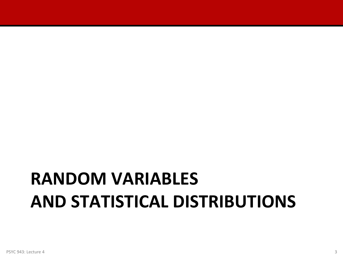## **RANDOM VARIABLES AND STATISTICAL DISTRIBUTIONS**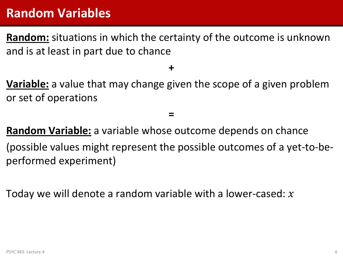#### **Random Variables**

**Random:** situations in which the certainty of the outcome is unknown and is at least in part due to chance

**+**

**Variable:** a value that may change given the scope of a given problem or set of operations

**Random Variable:** a variable whose outcome depends on chance (possible values might represent the possible outcomes of a yet-to-beperformed experiment)

**=**

Today we will denote a random variable with a lower-cased:  $x$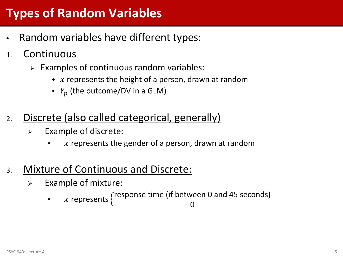### **Types of Random Variables**

- Random variables have different types:
- 1. Continuous
	- $\triangleright$  Examples of continuous random variables:
		- $\bullet$  x represents the height of a person, drawn at random
		- $\bullet$   $Y_p$  (the outcome/DV in a GLM)
- 2. Discrete (also called categorical, generally)
	- $\triangleright$  Example of discrete:
		- $\bullet$  x represents the gender of a person, drawn at random
- 3. Mixture of Continuous and Discrete:
	- $\triangleright$  Example of mixture:

 $\rightarrow$  x represents  $\{$ response time (if between 0 and 45 seconds) 0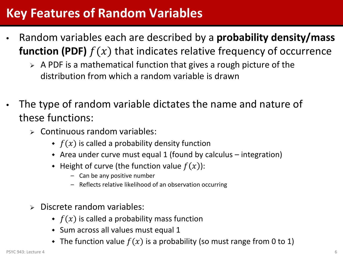#### **Key Features of Random Variables**

- Random variables each are described by a **probability density/mass function (PDF)**  $f(x)$  that indicates relative frequency of occurrence
	- $\triangleright$  A PDF is a mathematical function that gives a rough picture of the distribution from which a random variable is drawn
- The type of random variable dictates the name and nature of these functions:
	- $\triangleright$  Continuous random variables:
		- $\bullet$   $f(x)$  is called a probability density function
		- Area under curve must equal 1 (found by calculus integration)
		- Height of curve (the function value  $f(x)$ ):
			- Can be any positive number
			- Reflects relative likelihood of an observation occurring
	- $\triangleright$  Discrete random variables:
		- $\bullet$   $f(x)$  is called a probability mass function
		- Sum across all values must equal 1
		- The function value  $f(x)$  is a probability (so must range from 0 to 1)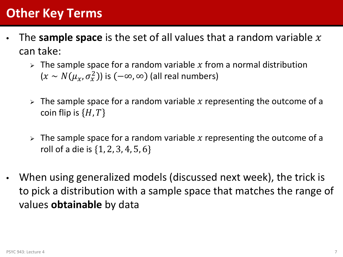### **Other Key Terms**

- The **sample space** is the set of all values that a random variable  $x$ can take:
	- $\triangleright$  The sample space for a random variable x from a normal distribution  $(x \sim N(\mu_x, \sigma_x^2))$  is  $(-\infty, \infty)$  (all real numbers)
	- $\triangleright$  The sample space for a random variable x representing the outcome of a coin flip is  $\{H, T\}$
	- $\triangleright$  The sample space for a random variable x representing the outcome of a roll of a die is {1, 2, 3, 4, 5, 6}
- When using generalized models (discussed next week), the trick is to pick a distribution with a sample space that matches the range of values **obtainable** by data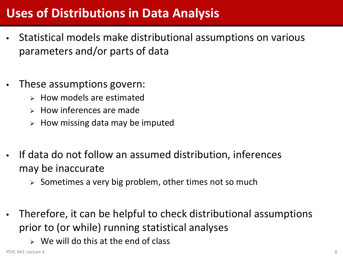#### **Uses of Distributions in Data Analysis**

- Statistical models make distributional assumptions on various parameters and/or parts of data
- These assumptions govern:
	- $\triangleright$  How models are estimated
	- $\triangleright$  How inferences are made
	- $\triangleright$  How missing data may be imputed
- If data do not follow an assumed distribution, inferences may be inaccurate
	- $\triangleright$  Sometimes a very big problem, other times not so much
- Therefore, it can be helpful to check distributional assumptions prior to (or while) running statistical analyses
	- $\triangleright$  We will do this at the end of class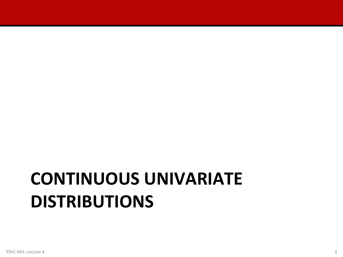# **CONTINUOUS UNIVARIATE DISTRIBUTIONS**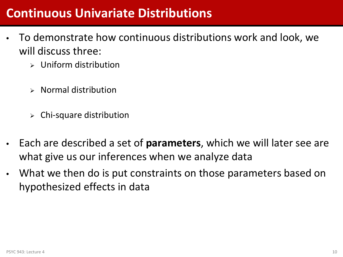#### **Continuous Univariate Distributions**

- To demonstrate how continuous distributions work and look, we will discuss three:
	- $\triangleright$  Uniform distribution
	- $\triangleright$  Normal distribution
	- $\triangleright$  Chi-square distribution
- Each are described a set of **parameters**, which we will later see are what give us our inferences when we analyze data
- What we then do is put constraints on those parameters based on hypothesized effects in data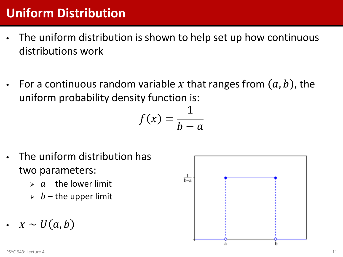### **Uniform Distribution**

- The uniform distribution is shown to help set up how continuous distributions work
- For a continuous random variable x that ranges from  $(a, b)$ , the uniform probability density function is:

$$
f(x) = \frac{1}{b-a}
$$

- The uniform distribution has two parameters:
	- $\rightarrow$  a the lower limit
	- $\rightarrow$  b the upper limit
- $x \sim U(a, b)$

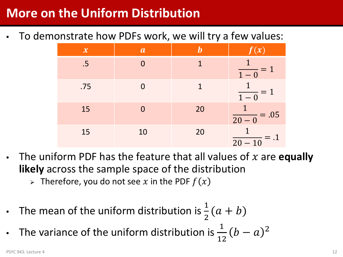#### **More on the Uniform Distribution**

• To demonstrate how PDFs work, we will try a few values:

| $\boldsymbol{\chi}$ | $\boldsymbol{a}$ |    | $\mathcal{L}(\boldsymbol{\mathcal{X}})$ |
|---------------------|------------------|----|-----------------------------------------|
| .5                  |                  | 1  | $\overline{1-0}$                        |
| .75                 |                  | 1  | $\overline{1-0}$                        |
| 15                  |                  | 20 | $\frac{1}{20-0} = .05$                  |
| 15                  | 10               | 20 | $\overline{20-10}$ = .1                 |

- The uniform PDF has the feature that all values of  $x$  are **equally likely** across the sample space of the distribution
	- $\triangleright$  Therefore, you do not see x in the PDF  $f(x)$
- The mean of the uniform distribution is  $\frac{1}{2}$  $\frac{1}{2}(a + b)$

• The variance of the uniform distribution is  $\frac{1}{11}$ 12  $(b-a)^2$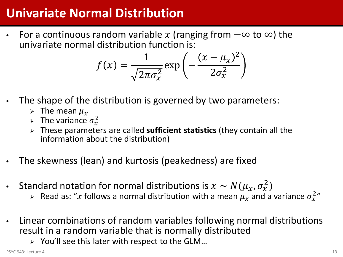### **Univariate Normal Distribution**

• For a continuous random variable x (ranging from  $-\infty$  to  $\infty$ ) the univariate normal distribution function is:

$$
f(x) = \frac{1}{\sqrt{2\pi\sigma_x^2}} \exp\left(-\frac{(x-\mu_x)^2}{2\sigma_x^2}\right)
$$

- The shape of the distribution is governed by two parameters:
	- $\triangleright$  The mean  $\mu_{\rm r}$
	- > The variance  $\sigma_x^2$
	- These parameters are called **sufficient statistics** (they contain all the information about the distribution)
- The skewness (lean) and kurtosis (peakedness) are fixed
- Standard notation for normal distributions is  $x \sim N(\mu_x, \sigma_x^2)$ 
	- $\triangleright$  Read as: "x follows a normal distribution with a mean  $\mu_\chi$  and a variance  $\sigma_\chi^{2}{}''$
- Linear combinations of random variables following normal distributions result in a random variable that is normally distributed
	- $\triangleright$  You'll see this later with respect to the GLM...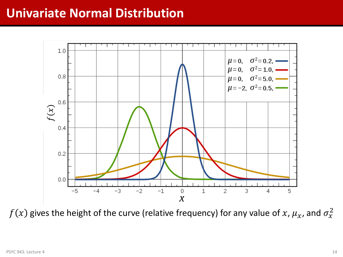#### **Univariate Normal Distribution**



 $f(x)$  gives the height of the curve (relative frequency) for any value of  $x$ ,  $\mu_x$ , and  $\sigma^2_x$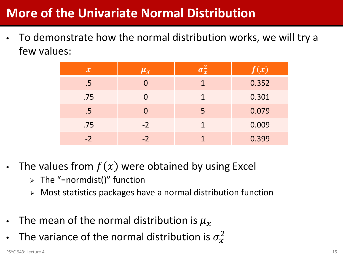### **More of the Univariate Normal Distribution**

• To demonstrate how the normal distribution works, we will try a few values:

| $\mathcal{X}$ | $ \mu_x $ |   | f(x)  |
|---------------|-----------|---|-------|
| .5            |           | 1 | 0.352 |
| .75           |           | 1 | 0.301 |
| .5            | O         | 5 | 0.079 |
| .75           | $-2$      | 1 | 0.009 |
| $-2$          | $-2$      |   | 0.399 |

- The values from  $f(x)$  were obtained by using Excel
	- $\triangleright$  The "=normdist()" function
	- $\triangleright$  Most statistics packages have a normal distribution function
- The mean of the normal distribution is  $\mu_{x}$
- The variance of the normal distribution is  $\sigma_{\!x}^2$

 $P$ SYC 943: Lecture 4  $\hskip 1.5cm 15$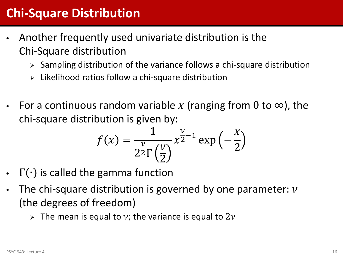#### **Chi-Square Distribution**

- Another frequently used univariate distribution is the Chi-Square distribution
	- $\triangleright$  Sampling distribution of the variance follows a chi-square distribution
	- $\triangleright$  Likelihood ratios follow a chi-square distribution
- For a continuous random variable x (ranging from 0 to  $\infty$ ), the chi-square distribution is given by:

$$
f(x) = \frac{1}{2^{\frac{\nu}{2}}\Gamma\left(\frac{\nu}{2}\right)} x^{\frac{\nu}{2}-1} \exp\left(-\frac{x}{2}\right)
$$

- $\Gamma(\cdot)$  is called the gamma function
- The chi-square distribution is governed by one parameter:  $\nu$ (the degrees of freedom)
	- $\triangleright$  The mean is equal to v; the variance is equal to 2v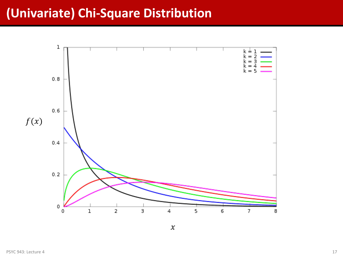#### **(Univariate) Chi-Square Distribution**



 $\boldsymbol{\chi}$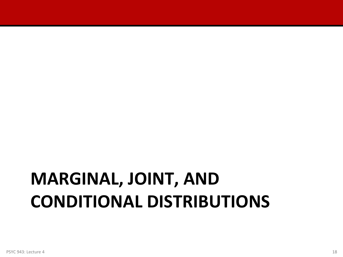# **MARGINAL, JOINT, AND CONDITIONAL DISTRIBUTIONS**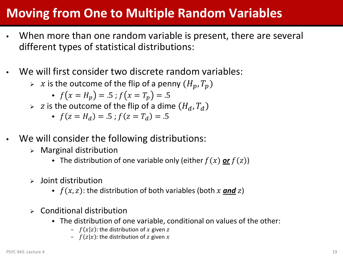### **Moving from One to Multiple Random Variables**

- When more than one random variable is present, there are several different types of statistical distributions:
- We will first consider two discrete random variables:
	- $\triangleright$  x is the outcome of the flip of a penny  $(H_p, T_p)$

• 
$$
f(x = H_p) = .5
$$
;  $f(x = T_p) = .5$ 

 $\triangleright$  z is the outcome of the flip of a dime  $(H_d, T_d)$ 

• 
$$
f(z = H_d) = .5
$$
;  $f(z = T_d) = .5$ 

- We will consider the following distributions:
	- $\triangleright$  Marginal distribution
		- The distribution of one variable only (either  $f(x)$  or  $f(z)$ )
	- $\epsilon$  loint distribution
		- $\bullet$   $f(x, z)$ : the distribution of both variables (both x **and** z)
	- Conditional distribution
		- The distribution of one variable, conditional on values of the other:
			- $f(x|z)$ : the distribution of x given z
			- $f(z|x)$ : the distribution of z given x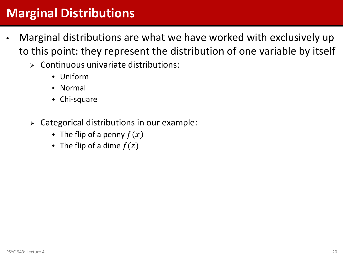#### **Marginal Distributions**

- Marginal distributions are what we have worked with exclusively up to this point: they represent the distribution of one variable by itself
	- $\triangleright$  Continuous univariate distributions:
		- Uniform
		- Normal
		- Chi-square
	- $\triangleright$  Categorical distributions in our example:
		- The flip of a penny  $f(x)$
		- The flip of a dime  $f(z)$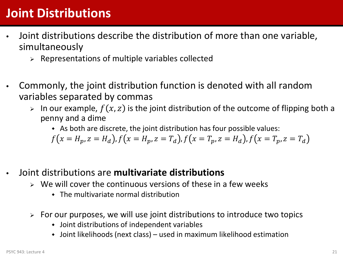### **Joint Distributions**

- Joint distributions describe the distribution of more than one variable, simultaneously
	- $\triangleright$  Representations of multiple variables collected
- Commonly, the joint distribution function is denoted with all random variables separated by commas
	- $\triangleright$  In our example,  $f(x, z)$  is the joint distribution of the outcome of flipping both a penny and a dime
		- As both are discrete, the joint distribution has four possible values:

 $f(x = H_p, z = H_d)$ ,  $f(x = H_p, z = T_d)$ ,  $f(x = T_p, z = H_d)$ ,  $f(x = T_p, z = T_d)$ 

- Joint distributions are **multivariate distributions**
	- $\triangleright$  We will cover the continuous versions of these in a few weeks
		- The multivariate normal distribution
	- $\triangleright$  For our purposes, we will use joint distributions to introduce two topics
		- Joint distributions of independent variables
		- Joint likelihoods (next class) used in maximum likelihood estimation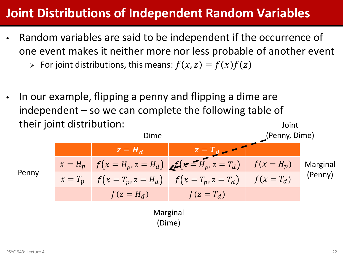#### **Joint Distributions of Independent Random Variables**

• Random variables are said to be independent if the occurrence of one event makes it neither more nor less probable of another event

 $\triangleright$  For joint distributions, this means:  $f(x, z) = f(x)f(z)$ 

• In our example, flipping a penny and flipping a dime are independent – so we can complete the following table of their joint distribution: Joint

$$
z = H_d
$$
\n
$$
x = H_p
$$
\n
$$
f(x = H_p, z = H_d)
$$
\n
$$
f(x = T_p, z = H_d)
$$
\n
$$
f(x = T_p, z = H_d)
$$
\n
$$
f(x = T_p, z = T_d)
$$
\n
$$
f(x = T_d)
$$
\n
$$
f(x = T_d)
$$
\n
$$
f(z = H_d)
$$
\n
$$
f(z = T_d)
$$
\n
$$
f(z = T_d)
$$
\n
$$
f(z = T_d)
$$
\n
$$
f(z = T_d)
$$
\n
$$
f(z = T_d)
$$
\n
$$
f(z = T_d)
$$

(Dime)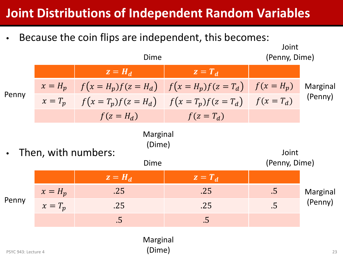#### **Joint Distributions of Independent Random Variables**

Because the coin flips are independent, this becomes:

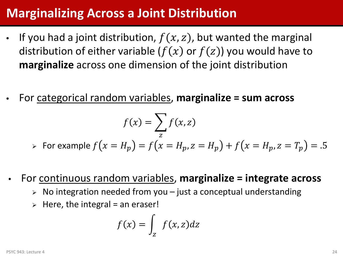#### **Marginalizing Across a Joint Distribution**

- If you had a joint distribution,  $f(x, z)$ , but wanted the marginal distribution of either variable ( $f(x)$  or  $f(z)$ ) you would have to **marginalize** across one dimension of the joint distribution
- For categorical random variables, **marginalize = sum across**

$$
f(x) = \sum_{z} f(x, z)
$$

- $\triangleright$  For example  $f(x = H_p) = f(x = H_p, z = H_p) + f(x = H_p, z = T_p) = .5$
- For continuous random variables, **marginalize = integrate across**
	- $\triangleright$  No integration needed from you just a conceptual understanding
	- $\triangleright$  Here, the integral = an eraser!

$$
f(x) = \int_{Z} f(x, z) dz
$$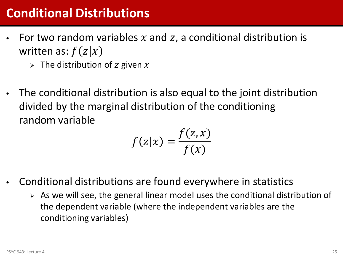#### **Conditional Distributions**

- For two random variables  $x$  and  $z$ , a conditional distribution is written as:  $f(z|x)$ 
	- $\triangleright$  The distribution of z given x
- The conditional distribution is also equal to the joint distribution divided by the marginal distribution of the conditioning random variable

$$
f(z|x) = \frac{f(z,x)}{f(x)}
$$

- Conditional distributions are found everywhere in statistics
	- $\triangleright$  As we will see, the general linear model uses the conditional distribution of the dependent variable (where the independent variables are the conditioning variables)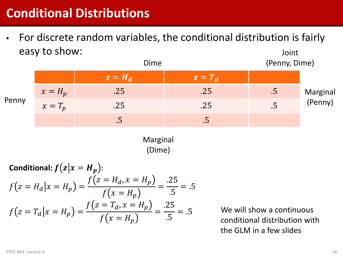#### **Conditional Distributions**

• For discrete random variables, the conditional distribution is fairly easy to show: Joint



Marginal (Dime)

**Conditional:** 
$$
f(z|x = H_p)
$$
:  
\n
$$
f(z = H_d | x = H_p) = \frac{f(z = H_d, x = H_p)}{f(x = H_p)} = \frac{.25}{.5} = .5
$$
\n
$$
f(z = T_d | x = H_p) = \frac{f(z = T_d, x = H_p)}{f(x = H_p)} = \frac{.25}{.5} = .5
$$

We will show a continuous conditional distribution with the GLM in a few slides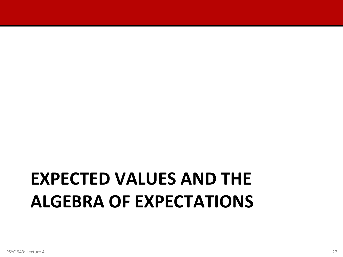## **EXPECTED VALUES AND THE ALGEBRA OF EXPECTATIONS**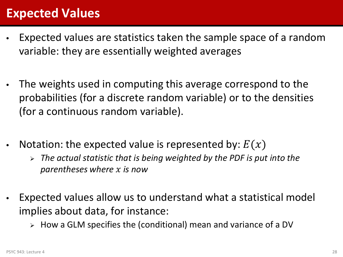#### **Expected Values**

- Expected values are statistics taken the sample space of a random variable: they are essentially weighted averages
- The weights used in computing this average correspond to the probabilities (for a discrete random variable) or to the densities (for a continuous random variable).
- Notation: the expected value is represented by:  $E(x)$ 
	- *The actual statistic that is being weighted by the PDF is put into the parentheses where is now*
- Expected values allow us to understand what a statistical model implies about data, for instance:
	- $\triangleright$  How a GLM specifies the (conditional) mean and variance of a DV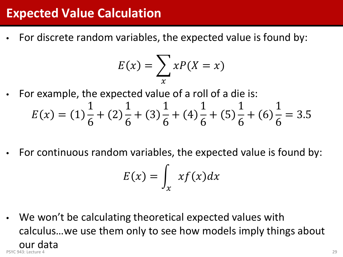#### **Expected Value Calculation**

• For discrete random variables, the expected value is found by:

$$
E(x) = \sum_{x} xP(X = x)
$$

• For example, the expected value of a roll of a die is:

$$
E(x) = (1)\frac{1}{6} + (2)\frac{1}{6} + (3)\frac{1}{6} + (4)\frac{1}{6} + (5)\frac{1}{6} + (6)\frac{1}{6} = 3.5
$$

• For continuous random variables, the expected value is found by:

$$
E(x) = \int_{x} x f(x) dx
$$

• We won't be calculating theoretical expected values with calculus…we use them only to see how models imply things about **our data**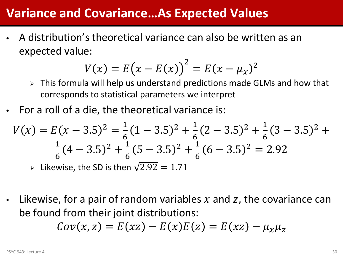#### **Variance and Covariance…As Expected Values**

• A distribution's theoretical variance can also be written as an expected value:

$$
V(x) = E(x - E(x))^{2} = E(x - \mu_{x})^{2}
$$

- $\triangleright$  This formula will help us understand predictions made GLMs and how that corresponds to statistical parameters we interpret
- For a roll of a die, the theoretical variance is:

$$
V(x) = E(x - 3.5)^2 = \frac{1}{6}(1 - 3.5)^2 + \frac{1}{6}(2 - 3.5)^2 + \frac{1}{6}(3 - 3.5)^2 + \frac{1}{6}(4 - 3.5)^2 + \frac{1}{6}(5 - 3.5)^2 + \frac{1}{6}(6 - 3.5)^2 = 2.92
$$
  
\n
$$
\Rightarrow \text{Likewise, the SD is then } \sqrt{2.92} = 1.71
$$

Likewise, for a pair of random variables x and z, the covariance can be found from their joint distributions:

$$
Cov(x, z) = E(xz) - E(x)E(z) = E(xz) - \mu_x \mu_z
$$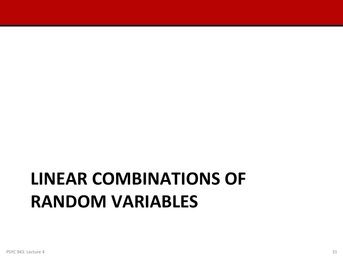## **LINEAR COMBINATIONS OF RANDOM VARIABLES**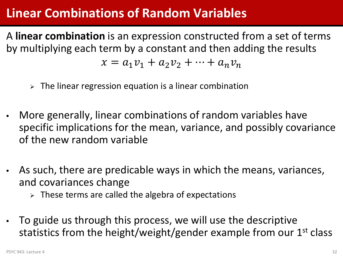#### **Linear Combinations of Random Variables**

A **linear combination** is an expression constructed from a set of terms by multiplying each term by a constant and then adding the results

$$
x = a_1 v_1 + a_2 v_2 + \dots + a_n v_n
$$

- $\triangleright$  The linear regression equation is a linear combination
- More generally, linear combinations of random variables have specific implications for the mean, variance, and possibly covariance of the new random variable
- As such, there are predicable ways in which the means, variances, and covariances change
	- $\triangleright$  These terms are called the algebra of expectations
- To guide us through this process, we will use the descriptive statistics from the height/weight/gender example from our 1<sup>st</sup> class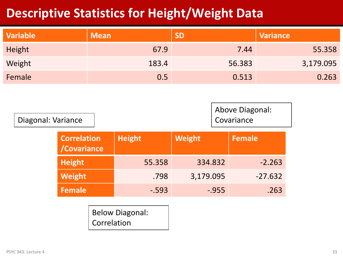#### **Descriptive Statistics for Height/Weight Data**

| <b>Variable</b> | <b>Mean</b> | <b>SD</b> | <b>Variance</b> |
|-----------------|-------------|-----------|-----------------|
| Height          | 67.9        | 7.44      | 55.358          |
| Weight          | 183.4       | 56.383    | 3,179.095       |
| Female          | 0.5         | 0.513     | 0.263           |

|                    | Above Diagonal: |  |
|--------------------|-----------------|--|
| Diagonal: Variance | Covariance      |  |

| <b>Correlation</b><br>/Covariance | <b>Height</b> | <b>Weight</b> | Female    |
|-----------------------------------|---------------|---------------|-----------|
| Height <sup>1</sup>               | 55.358        | 334.832       | $-2.263$  |
| Weight                            | .798          | 3,179.095     | $-27.632$ |
| <b>Female</b>                     | $-.593$       | $-0.955$      | .263      |

Below Diagonal: Correlation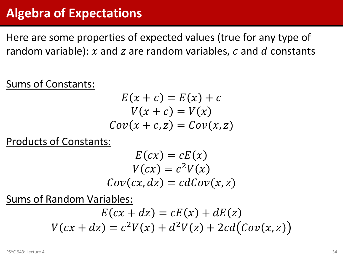#### **Algebra of Expectations**

Here are some properties of expected values (true for any type of random variable): x and z are random variables, c and d constants

Sums of Constants:

$$
E(x + c) = E(x) + c
$$

$$
V(x + c) = V(x)
$$

$$
Cov(x + c, z) = Cov(x, z)
$$

Products of Constants:

$$
E(cx) = cE(x)
$$
  

$$
V(cx) = c2V(x)
$$
  

$$
Cov(cx, dz) = cdCov(x, z)
$$

Sums of Random Variables:

$$
E(cx + dz) = cE(x) + dE(z)
$$

$$
V(cx + dz) = c2V(x) + d2V(z) + 2cd(Cov(x, z))
$$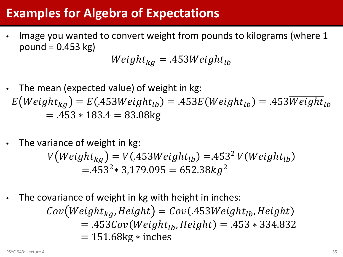#### **Examples for Algebra of Expectations**

• Image you wanted to convert weight from pounds to kilograms (where 1 pound  $= 0.453$  kg)

$$
Weight_{kg} = .453Weight_{lb}
$$

- The mean (expected value) of weight in kg:  $E(Weight_{ka}) = E(453 Weight_{lb}) = 453E(Weight_{lb}) = 453Weight_{lb}$  $= 453 * 183.4 = 83.08$ kg
- The variance of weight in kg:

$$
V\big(Weight_{kg}\big) = V(.453Weight_{lb}) = .453^2 V\big(Weight_{lb}\big) = .453^2 * 3,179.095 = 652.38kg^2
$$

The covariance of weight in kg with height in inches:

 $Cov(Weight_{ka}, Height) = Cov(453 Weight_{lb}, Height)$  $= 453Cov(Weight<sub>1b</sub>, Height) = 453 * 334.832$  $= 151.68$ kg  $*$  inches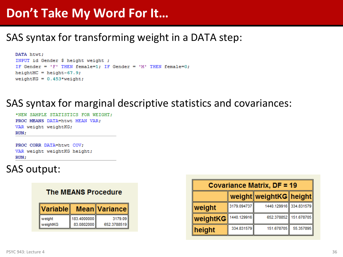#### **Don't Take My Word For It…**

#### SAS syntax for transforming weight in a DATA step:

```
DATA htwt;
INPUT id Gender $ height weight ;
IF Gender = 'F' THEN female=1; IF Gender = 'M' THEN female=0;
heightMC = height-67.9;weightKG = 0.453*weight;
```
#### SAS syntax for marginal descriptive statistics and covariances:

\*NEW SAMPLE STATISTICS FOR WEIGHT: PROC MEANS DATA=htwt MEAN VAR: VAR weight weightKG;  $RUN:$ 

PROC CORR DATA=htwt COV; VAR weight weightKG height;  $RUN:$ 

#### SAS output:

#### **The MEANS Procedure**

| Variable |             | <b>Mean Variance</b> |
|----------|-------------|----------------------|
| weight   | 183.4000000 | 3179.09              |
| weightKG | 83.0802000  | 652.3788519          |

| <b>Covariance Matrix, DF = 19</b> |             |                        |                       |  |  |  |  |
|-----------------------------------|-------------|------------------------|-----------------------|--|--|--|--|
| weight weight KG height           |             |                        |                       |  |  |  |  |
| weight                            | 3179.094737 | 1440.129916 334.831579 |                       |  |  |  |  |
| weightKG                          | 1440.129916 |                        | 652.378852 151.678705 |  |  |  |  |
| height                            | 334.831579  | 151.678705             | 55.357895             |  |  |  |  |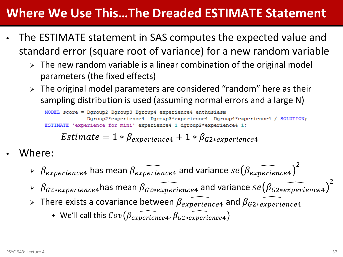#### **Where We Use This…The Dreaded ESTIMATE Statement**

- The ESTIMATE statement in SAS computes the expected value and standard error (square root of variance) for a new random variable
	- $\triangleright$  The new random variable is a linear combination of the original model parameters (the fixed effects)
	- $\triangleright$  The original model parameters are considered "random" here as their sampling distribution is used (assuming normal errors and a large N)

```
MODEL score = Dgroup2 Dgroup3 Dgroup4 experience4 enthusiasm
             Dgroup2*experience4 Dgroup3*experience4 Dgroup4*experience4 / SOLUTION;
ESTIMATE 'experience for mini' experience4 1 doroup2*experience4 1:
```
*Estimate* = 
$$
1 * \beta_{experience4} + 1 * \beta_{G2*experience4}
$$

- Where:
	- $\triangleright$   $\beta_{experience4}$  has mean  $\beta_{experience4}$  and variance  $se(\beta_{experience4})^2$
	- $\triangleright$   $\beta$ <sub>G2\*experience4</sub> has mean  $\beta$ <sub>G2\*experience4</sub> and variance se( $\beta$ <sub>G2\*experience4</sub>)<sup>2</sup>
	- > There exists a covariance between  $\beta_{experiences}$  and  $\beta_{G2*experiences}$ 
		- We'll call this  $Cov(\beta_{experience4}, \beta_{G2*experience4})$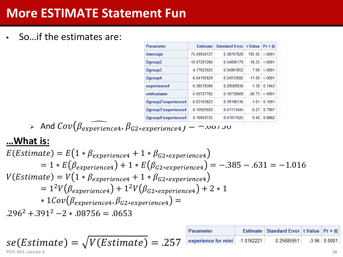### **More ESTIMATE Statement Fun**

• So…if the estimates are:

| <b>Estimate</b> |            | t Value  | Pr >  t               |
|-----------------|------------|----------|-----------------------|
| 75.49934727     | 0.38707620 | 195.05   | < 0001                |
| -10.07267266    | 0.54896179 | $-18.35$ | < 0001                |
| 4.17623925      | 0.54961852 | 7.60     | < 0001                |
| $-6.04195829$   | 0.54912685 | $-11.00$ | < 0001                |
| $-0.38518388$   | 0.29569936 | $-1.30$  | 0.1943                |
| -5.00727782     | 0.18730609 | $-26.73$ | < 0001                |
| $-0.63103823$   | 0.39198136 | $-1.61$  | 0 1091                |
| $-0.10925920$   | 0.41111045 | $-0.27$  | 0.7907                |
| 0.16959725      | 0.41917025 | 0.40     | 0.6862                |
|                 |            |          | <b>Standard Error</b> |

And � , ∗ � = −.08756

#### **…What is:**

$$
E(Estimate) = E(1 * \beta_{experience4} + 1 * \beta_{G2*experience4})
$$
  
= 1 \* E(\beta\_{experience4}) + 1 \* E(\beta\_{G2\*experience4}) = -.385 - .631 = -1.016  
V(Estimate) = V(1 \* \beta\_{experience4} + 1 \* \beta\_{G2\*experience4})  
= 1<sup>2</sup>V(\beta\_{experience4}) + 1<sup>2</sup>V(\beta\_{G2\*experience4}) + 2 \* 1  
\* 1Cov(\beta\_{experience4}, \beta\_{G2\*experience4}) =  
.296<sup>2</sup> + .391<sup>2</sup> - 2 \* .08756 = .0653

$$
se(Estimate) = \sqrt{V(Estimate)} = .257
$$
  
\n
$$
P
$$
  
\n
$$
P
$$
  
\n
$$
P
$$
  
\n
$$
= .257
$$
  
\n
$$
P
$$
  
\n
$$
P
$$
  
\n
$$
P
$$
  
\n
$$
= .257
$$
  
\n
$$
P
$$
  
\n
$$
P
$$
  
\n
$$
P
$$
  
\n
$$
P
$$
  
\n
$$
= .257
$$
  
\n
$$
P
$$
  
\n
$$
P
$$
  
\n
$$
P
$$
  
\n
$$
= .257
$$
  
\n
$$
P
$$
  
\n
$$
P
$$
  
\n
$$
P
$$
  
\n
$$
= .257
$$
  
\n
$$
P
$$
  
\n
$$
P
$$
  
\n
$$
= .257
$$
  
\n
$$
P
$$
  
\n
$$
P
$$
  
\n
$$
= .257
$$
  
\n
$$
P
$$
  
\n
$$
= .257
$$
  
\n
$$
P
$$
  
\n
$$
= .257
$$
  
\n
$$
P
$$
  
\n
$$
= .257
$$
  
\n
$$
P
$$
  
\n
$$
= .257
$$
  
\n
$$
P
$$
  
\n
$$
= .257
$$
  
\n
$$
P
$$
  
\n
$$
= .257
$$
  
\n
$$
P
$$
  
\n
$$
= .257
$$
  
\n
$$
P
$$
  
\n
$$
= .257
$$
  
\n
$$
P
$$
  
\n
$$
= .257
$$
  
\n
$$
P
$$
  
\n
$$
= .257
$$
  
\n
$$
P
$$
  
\n
$$
= .257
$$
  
\n
$$
P
$$
  
\n
$$
= .257
$$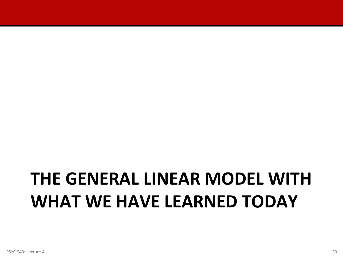# **THE GENERAL LINEAR MODEL WITH WHAT WE HAVE LEARNED TODAY**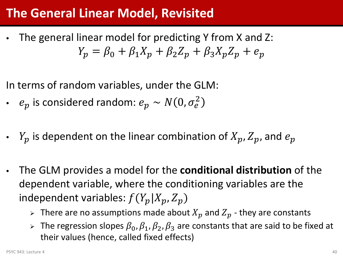#### **The General Linear Model, Revisited**

• The general linear model for predicting Y from X and Z:  $Y_p = \beta_0 + \beta_1 X_p + \beta_2 Z_p + \beta_3 X_p Z_p + e_p$ 

In terms of random variables, under the GLM:

- $e_p$  is considered random:  $e_p \thicksim N(0, \sigma_e^2)$
- $Y_p$  is dependent on the linear combination of  $X_p$ ,  $Z_p$ , and  $e_p$
- The GLM provides a model for the **conditional distribution** of the dependent variable, where the conditioning variables are the independent variables:  $f(Y_p|X_p, Z_p)$ 
	- $\triangleright$  There are no assumptions made about  $X_p$  and  $Z_p$  they are constants
	- $\triangleright$  The regression slopes  $\beta_0$ ,  $\beta_1$ ,  $\beta_2$ ,  $\beta_3$  are constants that are said to be fixed at their values (hence, called fixed effects)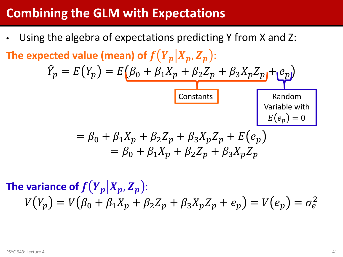#### **Combining the GLM with Expectations**

Using the algebra of expectations predicting Y from X and Z: The expected value (mean) of  $f(Y_p|X_p, Z_p)$ :  $\hat{Y}_p = E(Y_p) = E(\beta_0 + \beta_1 X_p + \beta_2 Z_p + \beta_3 X_p Z_p + e_p)$  $= \beta_0 + \beta_1 X_p + \beta_2 Z_p + \beta_3 X_p Z_p + E(e_p)$  $= \beta_0 + \beta_1 X_p + \beta_2 Z_n + \beta_3 X_n Z_n$ Constants Variable with  $E(e_p) = 0$ 

The variance of  $f(Y_p|X_p, Z_p)$ :  $V(Y_p) = V(\beta_0 + \beta_1 X_p + \beta_2 Z_p + \beta_3 X_p Z_p + e_p) = V(e_p) = \sigma_e^2$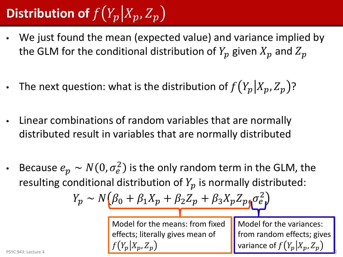### **Distribution of**  $f(Y_p|X_p, Z_p)$

- We just found the mean (expected value) and variance implied by the GLM for the conditional distribution of  $Y_p$  given  $X_p$  and  $Z_p$
- The next question: what is the distribution of  $f(Y_p|X_p, Z_p)$ ?
- Linear combinations of random variables that are normally distributed result in variables that are normally distributed
- Because  $e_p \sim N(0,\sigma_e^2)$  is the only random term in the GLM, the resulting conditional distribution of  $Y_p$  is normally distributed:

$$
Y_p \sim N(\beta_0 + \beta_1 X_p + \beta_2 Z_p + \beta_3 X_p Z_p \sigma_e^2)
$$

Model for the means: from fixed effects; literally gives mean of PSYC 943: Lecture 4  $f(Y_p|X_p,Z_p)$  variance of  $f(Y_p|X_p,Z_p)$ 

Model for the variances: from random effects; gives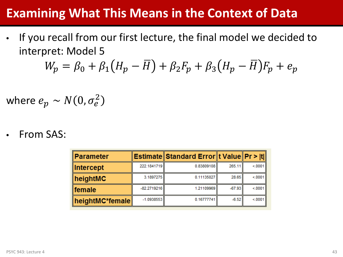#### **Examining What This Means in the Context of Data**

• If you recall from our first lecture, the final model we decided to interpret: Model 5

$$
W_p = \beta_0 + \beta_1 (H_p - \overline{H}) + \beta_2 F_p + \beta_3 (H_p - \overline{H}) F_p + e_p
$$

where  $e_p \thicksim N(0,\sigma_e^2)$ 

• From SAS:

| ∥Parameter           |               | Estimate Standard Error t Value Pr >  t |          |        |
|----------------------|---------------|-----------------------------------------|----------|--------|
| ∥Intercept           | 222.1841719   | 0.83809108                              | 265.11   | < 0001 |
| $\parallel$ heightMC | 3.1897275     | 0.11135027                              | 28.65    | < 0001 |
| $\ $ female          | $-82.2719216$ | 1.21109969                              | $-67.93$ | < 0001 |
| heightMC*female      | $-1.0938553$  | 0.16777741                              | $-6.52$  | < 0001 |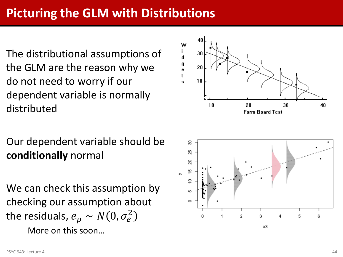### **Picturing the GLM with Distributions**

The distributional assumptions of the GLM are the reason why we do not need to worry if our dependent variable is normally distributed

#### Our dependent variable should be **conditionally** normal

We can check this assumption by checking our assumption about the residuals,  $e_p \thicksim N(0,\sigma_e^2)$ 

More on this soon…



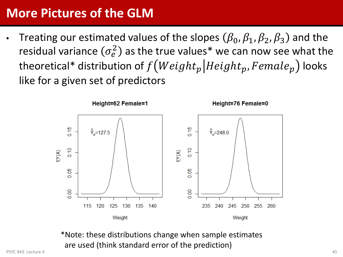### **More Pictures of the GLM**

Treating our estimated values of the slopes  $(\beta_0, \beta_1, \beta_2, \beta_3)$  and the residual variance  $(\sigma_e^2)$  as the true values\* we can now see what the theoretical\* distribution of  $f(Weight_p|Height_p, Female_p)$  looks like for a given set of predictors



\*Note: these distributions change when sample estimates are used (think standard error of the prediction)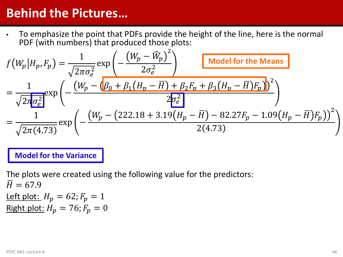#### **Behind the Pictures…**

• To emphasize the point that PDFs provide the height of the line, here is the normal PDF (with numbers) that produced those plots:

$$
f(W_p|H_p, F_p) = \frac{1}{\sqrt{2\pi\sigma_e^2}} \exp\left(-\frac{(W_p - \widehat{W}_p)^2}{2\sigma_e^2}\right)
$$
  
\n
$$
= \frac{1}{\sqrt{2\pi\sigma_e^2}} \exp\left(-\frac{(W_p - (\beta_0 + \beta_1(H_p - \overline{H}) + \beta_2 F_p + \beta_3(H_p - \overline{H})F_p))^2}{2\sigma_e^2}\right)
$$
  
\n
$$
= \frac{1}{\sqrt{2\pi(4.73)}} \exp\left(-\frac{(W_p - (222.18 + 3.19(H_p - \overline{H}) - 82.27F_p - 1.09(H_p - \overline{H})F_p))^2}{2(4.73)}\right)
$$

**Model for the Variance**

The plots were created using the following value for the predictors:  $\overline{H} = 67.9$ Left plot:  $H_p = 62; F_p = 1$ Right plot:  $H_p = 76$ ;  $F_p = 0$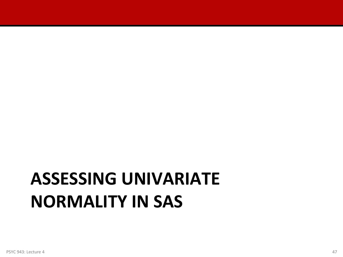# **ASSESSING UNIVARIATE NORMALITY IN SAS**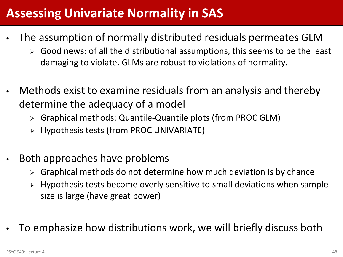### **Assessing Univariate Normality in SAS**

- The assumption of normally distributed residuals permeates GLM
	- $\triangleright$  Good news: of all the distributional assumptions, this seems to be the least damaging to violate. GLMs are robust to violations of normality.
- Methods exist to examine residuals from an analysis and thereby determine the adequacy of a model
	- Graphical methods: Quantile-Quantile plots (from PROC GLM)
	- $\triangleright$  Hypothesis tests (from PROC UNIVARIATE)
- Both approaches have problems
	- Graphical methods do not determine how much deviation is by chance
	- Hypothesis tests become overly sensitive to small deviations when sample size is large (have great power)
- To emphasize how distributions work, we will briefly discuss both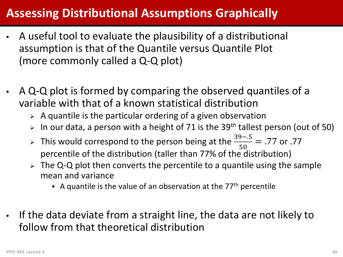#### **Assessing Distributional Assumptions Graphically**

- A useful tool to evaluate the plausibility of a distributional assumption is that of the Quantile versus Quantile Plot (more commonly called a Q-Q plot)
- A Q-Q plot is formed by comparing the observed quantiles of a variable with that of a known statistical distribution
	- $\triangleright$  A quantile is the particular ordering of a given observation
	- $>$  In our data, a person with a height of 71 is the 39<sup>th</sup> tallest person (out of 50)
	- > This would correspond to the person being at the  $\frac{39-.5}{50}$  $\frac{50}{50}$  = .77 or .77 percentile of the distribution (taller than 77% of the distribution)
	- $\geq$  The Q-Q plot then converts the percentile to a quantile using the sample mean and variance
		- A quantile is the value of an observation at the  $77<sup>th</sup>$  percentile
- If the data deviate from a straight line, the data are not likely to follow from that theoretical distribution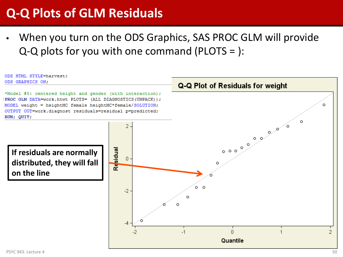#### **Q-Q Plots of GLM Residuals**

When you turn on the ODS Graphics, SAS PROC GLM will provide Q-Q plots for you with one command (PLOTS = ):

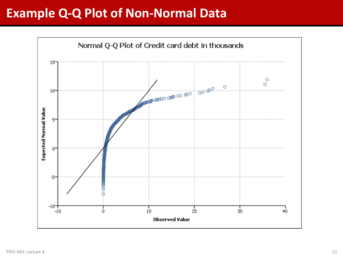#### **Example Q-Q Plot of Non-Normal Data**

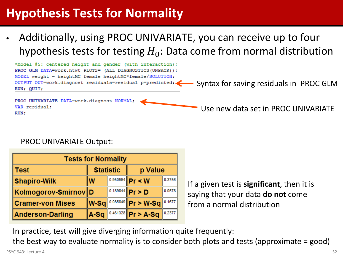### **Hypothesis Tests for Normality**

• Additionally, using PROC UNIVARIATE, you can receive up to four hypothesis tests for testing  $H_0$ : Data come from normal distribution



#### PROC UNIVARIATE Output:

| <b>Tests for Normality</b>           |      |  |                               |        |  |
|--------------------------------------|------|--|-------------------------------|--------|--|
| <b>Statistic</b><br>p Value<br>∥Test |      |  |                               |        |  |
| Shapiro-Wilk                         | W    |  | 0.3756<br>$ 0.950554 $ Pr < W |        |  |
| ∥Kolmogorov-Smirnov∥D                |      |  | $0.189844$ Pr > D             | 0.0578 |  |
| ∥Cramer-von Mises                    | W-Sq |  | $0.085849$ Pr > W-Sq          | 0.1677 |  |
| Anderson-Darling                     | A-Sq |  | $0.461328$ Pr > A-Sq          | 0.2377 |  |

If a given test is **significant**, then it is saying that your data **do not** come from a normal distribution

In practice, test will give diverging information quite frequently:

the best way to evaluate normality is to consider both plots and tests (approximate = good)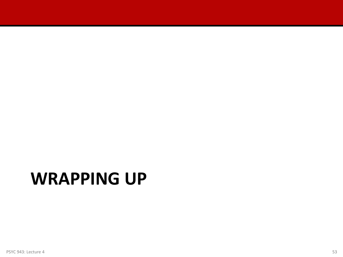### **WRAPPING UP**